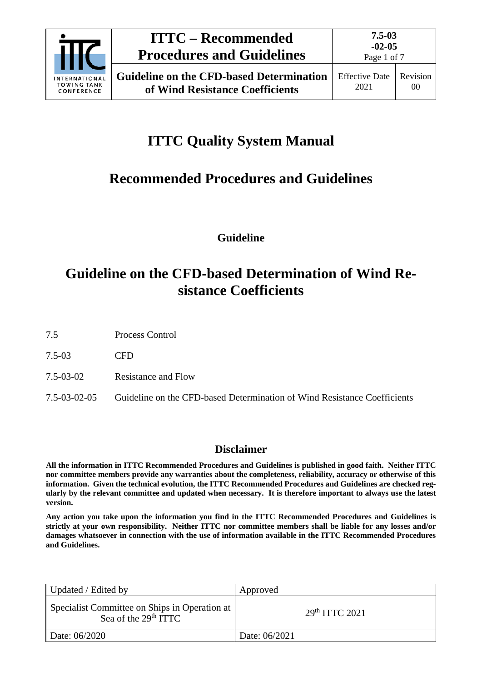

# **ITTC Quality System Manual**

# **Recommended Procedures and Guidelines**

**Guideline**

## **Guideline on the CFD-based Determination of Wind Resistance Coefficients**

7.5 Process Control

7.5-03 CFD

7.5-03-02 Resistance and Flow

7.5-03-02-05 Guideline on the CFD-based Determination of Wind Resistance Coefficients

### **Disclaimer**

**All the information in ITTC Recommended Procedures and Guidelines is published in good faith. Neither ITTC nor committee members provide any warranties about the completeness, reliability, accuracy or otherwise of this information. Given the technical evolution, the ITTC Recommended Procedures and Guidelines are checked regularly by the relevant committee and updated when necessary. It is therefore important to always use the latest version.**

**Any action you take upon the information you find in the ITTC Recommended Procedures and Guidelines is strictly at your own responsibility. Neither ITTC nor committee members shall be liable for any losses and/or damages whatsoever in connection with the use of information available in the ITTC Recommended Procedures and Guidelines.**

| Updated / Edited by                                                     | Approved                  |
|-------------------------------------------------------------------------|---------------------------|
| Specialist Committee on Ships in Operation at<br>Sea of the $29th TTTC$ | 29 <sup>th</sup> TTC 2021 |
| Date: 06/2020                                                           | Date: 06/2021             |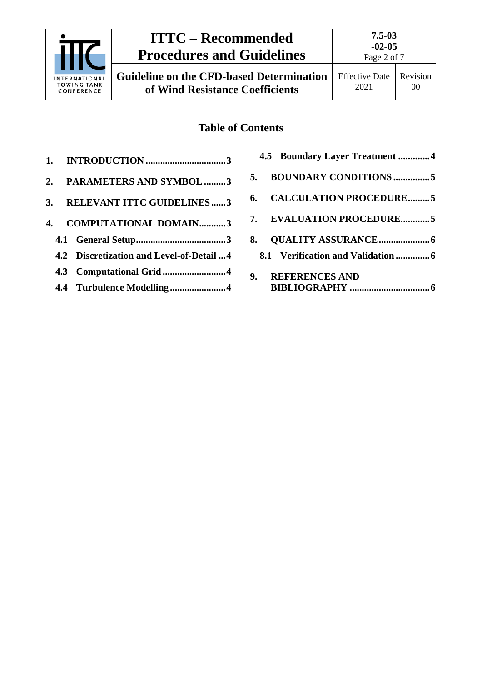

**Guideline on the CFD-based Determination of Wind Resistance Coefficients**

# 00

Page 2 of 7

### **Table of Contents**

|  | 2. PARAMETERS AND SYMBOL 3               |
|--|------------------------------------------|
|  | 3. RELEVANT ITTC GUIDELINES3             |
|  | 4. COMPUTATIONAL DOMAIN3                 |
|  |                                          |
|  | 4.2 Discretization and Level-of-Detail 4 |
|  |                                          |

**4.4 [Turbulence Modelling](#page-3-2) .......................4**

| 4.5 Boundary Layer Treatment 4    |  |
|-----------------------------------|--|
| 5. BOUNDARY CONDITIONS 5          |  |
| 6. CALCULATION PROCEDURE5         |  |
| 7. EVALUATION PROCEDURE5          |  |
|                                   |  |
| 8.1 Verification and Validation 6 |  |
| 9. REFERENCES AND                 |  |
|                                   |  |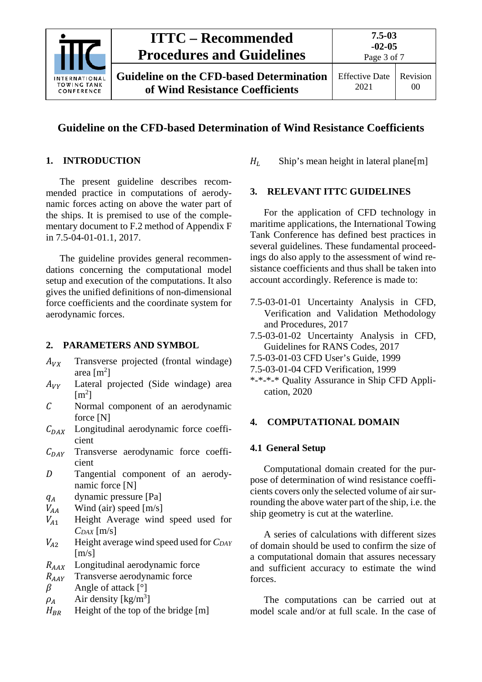

### **Guideline on the CFD-based Determination of Wind Resistance Coefficients**

### <span id="page-2-0"></span>**1. INTRODUCTION**

The present guideline describes recommended practice in computations of aerodynamic forces acting on above the water part of the ships. It is premised to use of the complementary document to F.2 method of Appendix F in 7.5-04-01-01.1, 2017.

The guideline provides general recommendations concerning the computational model setup and execution of the computations. It also gives the unified definitions of non-dimensional force coefficients and the coordinate system for aerodynamic forces.

#### <span id="page-2-1"></span>**2. PARAMETERS AND SYMBOL**

- $A_{VX}$  Transverse projected (frontal windage) area  $[m^2]$
- $A_{VV}$  Lateral projected (Side windage) area  $[m^2]$
- Normal component of an aerodynamic force [N]
- $C_{DAY}$  Longitudinal aerodynamic force coefficient
- $C_{DAY}$  Transverse aerodynamic force coefficient
- D Tangential component of an aerodynamic force [N]
- $q_A$  dynamic pressure [Pa]<br> $V_{AA}$  Wind (air) speed [m/s]
- $V_{AA}$  Wind (air) speed [m/s]<br> $V_{A1}$  Height Average wind
- <sup>1</sup> Height Average wind speed used for *CDAX* [m/s]
- $V_{A2}$  Height average wind speed used for *CDAY*  $[m/s]$
- $R_{AAX}$  Longitudinal aerodynamic force<br> $R_{AAY}$  Transverse aerodynamic force
- $R_{AAY}$  Transverse aerodynamic force<br>  $\beta$  Angle of attack [°]

Angle of attack [°]

- $\rho_A$  Air density [kg/m<sup>3</sup>]
- $H_{BR}$  Height of the top of the bridge [m]

<span id="page-2-2"></span> $H<sub>L</sub>$  Ship's mean height in lateral plane[m]

#### **3. RELEVANT ITTC GUIDELINES**

For the application of CFD technology in maritime applications, the International Towing Tank Conference has defined best practices in several guidelines. These fundamental proceedings do also apply to the assessment of wind resistance coefficients and thus shall be taken into account accordingly. Reference is made to:

- 7.5-03-01-01 Uncertainty Analysis in CFD, Verification and Validation Methodology and Procedures, 2017
- 7.5-03-01-02 Uncertainty Analysis in CFD, Guidelines for RANS Codes, 2017
- 7.5-03-01-03 CFD User's Guide, 1999
- 7.5-03-01-04 CFD Verification, 1999
- \*-\*-\*-\* Quality Assurance in Ship CFD Application, 2020

#### <span id="page-2-4"></span><span id="page-2-3"></span>**4. COMPUTATIONAL DOMAIN**

#### **4.1 General Setup**

Computational domain created for the purpose of determination of wind resistance coefficients covers only the selected volume of air surrounding the above water part of the ship, i.e. the ship geometry is cut at the waterline.

A series of calculations with different sizes of domain should be used to confirm the size of a computational domain that assures necessary and sufficient accuracy to estimate the wind forces.

The computations can be carried out at model scale and/or at full scale. In the case of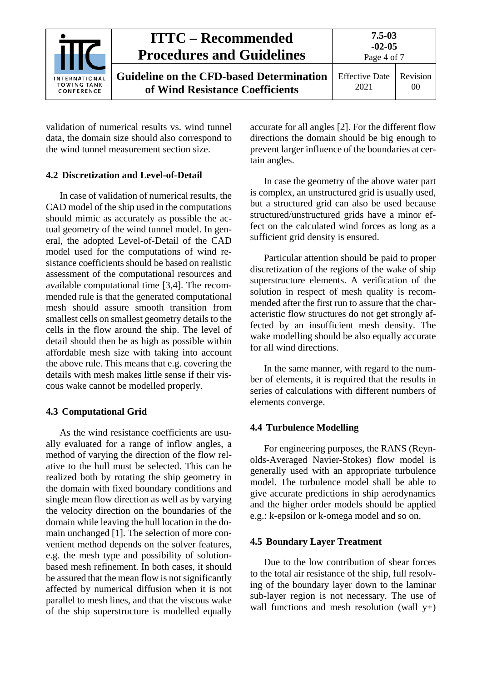|                                                   | <b>ITTC – Recommended</b><br><b>Procedures and Guidelines</b>                      | $7.5 - 0.3$<br>$-02-05$<br>Page 4 of 7 |                |
|---------------------------------------------------|------------------------------------------------------------------------------------|----------------------------------------|----------------|
| INTERNATIONAL<br><b>TOWING TANK</b><br>CONFERENCE | <b>Guideline on the CFD-based Determination</b><br>of Wind Resistance Coefficients | <b>Effective Date</b><br>2021          | Revision<br>00 |

validation of numerical results vs. wind tunnel data, the domain size should also correspond to the wind tunnel measurement section size.

#### <span id="page-3-0"></span>**4.2 Discretization and Level-of-Detail**

In case of validation of numerical results, the CAD model of the ship used in the computations should mimic as accurately as possible the actual geometry of the wind tunnel model. In general, the adopted Level-of-Detail of the CAD model used for the computations of wind resistance coefficients should be based on realistic assessment of the computational resources and available computational time [3,4]. The recommended rule is that the generated computational mesh should assure smooth transition from smallest cells on smallest geometry details to the cells in the flow around the ship. The level of detail should then be as high as possible within affordable mesh size with taking into account the above rule. This means that e.g. covering the details with mesh makes little sense if their viscous wake cannot be modelled properly.

#### <span id="page-3-1"></span>**4.3 Computational Grid**

As the wind resistance coefficients are usually evaluated for a range of inflow angles, a method of varying the direction of the flow relative to the hull must be selected. This can be realized both by rotating the ship geometry in the domain with fixed boundary conditions and single mean flow direction as well as by varying the velocity direction on the boundaries of the domain while leaving the hull location in the domain unchanged [1]. The selection of more convenient method depends on the solver features, e.g. the mesh type and possibility of solutionbased mesh refinement. In both cases, it should be assured that the mean flow is not significantly affected by numerical diffusion when it is not parallel to mesh lines, and that the viscous wake of the ship superstructure is modelled equally

accurate for all angles [2]. For the different flow directions the domain should be big enough to prevent larger influence of the boundaries at certain angles.

In case the geometry of the above water part is complex, an unstructured grid is usually used, but a structured grid can also be used because structured/unstructured grids have a minor effect on the calculated wind forces as long as a sufficient grid density is ensured.

Particular attention should be paid to proper discretization of the regions of the wake of ship superstructure elements. A verification of the solution in respect of mesh quality is recommended after the first run to assure that the characteristic flow structures do not get strongly affected by an insufficient mesh density. The wake modelling should be also equally accurate for all wind directions.

In the same manner, with regard to the number of elements, it is required that the results in series of calculations with different numbers of elements converge.

#### <span id="page-3-2"></span>**4.4 Turbulence Modelling**

For engineering purposes, the RANS (Reynolds-Averaged Navier-Stokes) flow model is generally used with an appropriate turbulence model. The turbulence model shall be able to give accurate predictions in ship aerodynamics and the higher order models should be applied e.g.: k-epsilon or k-omega model and so on.

#### <span id="page-3-3"></span>**4.5 Boundary Layer Treatment**

Due to the low contribution of shear forces to the total air resistance of the ship, full resolving of the boundary layer down to the laminar sub-layer region is not necessary. The use of wall functions and mesh resolution (wall  $y+$ )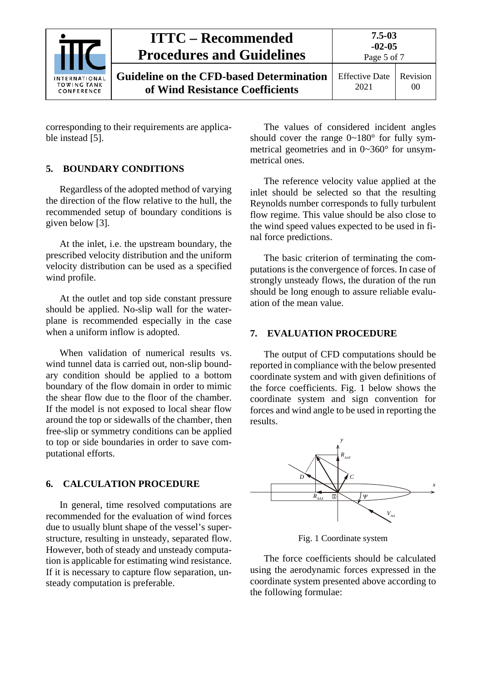|                                                          | <b>ITTC – Recommended</b><br><b>Procedures and Guidelines</b>                      | $7.5 - 0.3$<br>$-02-05$<br>Page 5 of 7 |                |
|----------------------------------------------------------|------------------------------------------------------------------------------------|----------------------------------------|----------------|
| <b>INTERNATIONAL</b><br><b>TOWING TANK</b><br>CONFERENCE | <b>Guideline on the CFD-based Determination</b><br>of Wind Resistance Coefficients | <b>Effective Date</b><br>2021          | Revision<br>00 |

<span id="page-4-0"></span>corresponding to their requirements are applicable instead [5].

#### **5. BOUNDARY CONDITIONS**

Regardless of the adopted method of varying the direction of the flow relative to the hull, the recommended setup of boundary conditions is given below [3].

At the inlet, i.e. the upstream boundary, the prescribed velocity distribution and the uniform velocity distribution can be used as a specified wind profile.

At the outlet and top side constant pressure should be applied. No-slip wall for the waterplane is recommended especially in the case when a uniform inflow is adopted.

When validation of numerical results vs. wind tunnel data is carried out, non-slip boundary condition should be applied to a bottom boundary of the flow domain in order to mimic the shear flow due to the floor of the chamber. If the model is not exposed to local shear flow around the top or sidewalls of the chamber, then free-slip or symmetry conditions can be applied to top or side boundaries in order to save computational efforts.

#### <span id="page-4-1"></span>**6. CALCULATION PROCEDURE**

In general, time resolved computations are recommended for the evaluation of wind forces due to usually blunt shape of the vessel's superstructure, resulting in unsteady, separated flow. However, both of steady and unsteady computation is applicable for estimating wind resistance. If it is necessary to capture flow separation, unsteady computation is preferable.

The values of considered incident angles should cover the range  $0 \sim 180^\circ$  for fully symmetrical geometries and in 0~360° for unsymmetrical ones.

The reference velocity value applied at the inlet should be selected so that the resulting Reynolds number corresponds to fully turbulent flow regime. This value should be also close to the wind speed values expected to be used in final force predictions.

The basic criterion of terminating the computations is the convergence of forces. In case of strongly unsteady flows, the duration of the run should be long enough to assure reliable evaluation of the mean value.

#### <span id="page-4-2"></span>**7. EVALUATION PROCEDURE**

The output of CFD computations should be reported in compliance with the below presented coordinate system and with given definitions of the force coefficients. [Fig. 1](#page-4-3) below shows the coordinate system and sign convention for forces and wind angle to be used in reporting the results.



Fig. 1 Coordinate system

<span id="page-4-3"></span>The force coefficients should be calculated using the aerodynamic forces expressed in the coordinate system presented above according to the following formulae: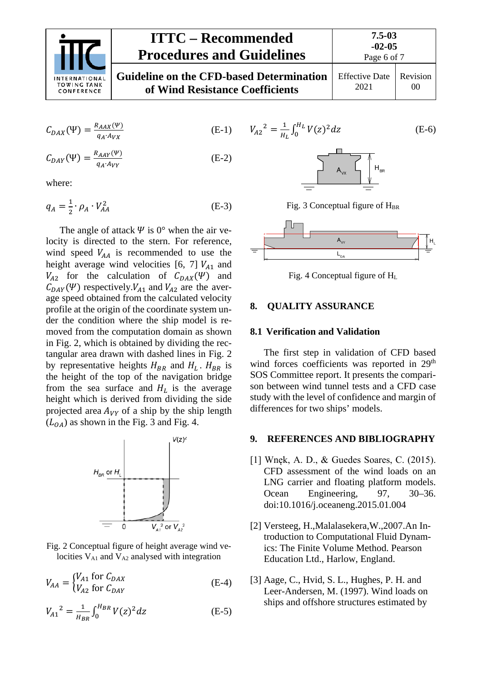

#### **ITTC – Recommended Procedures and Guidelines Guideline on the CFD-based Determination of Wind Resistance Coefficients** Effective Date 2021

| $C_{DAX}(\Psi) = \frac{R_{AAX}(\Psi)}{q_A A_{VX}}$ | $(E-1)$ |
|----------------------------------------------------|---------|
|----------------------------------------------------|---------|

$$
C_{DAY}(\Psi) = \frac{R_{AAY}(\Psi)}{q_A A_{VY}} \tag{E-2}
$$

where:

$$
q_A = \frac{1}{2} \cdot \rho_A \cdot V_{AA}^2 \tag{E-3}
$$

The angle of attack  $\Psi$  is 0° when the air velocity is directed to the stern. For reference, wind speed  $V_{AA}$  is recommended to use the height average wind velocities [6, 7]  $V_{A1}$  and  $V_{A2}$  for the calculation of  $C_{DAX}(\Psi)$  and  $C_{DAY}(\Psi)$  respectively.  $V_{A1}$  and  $V_{A2}$  are the average speed obtained from the calculated velocity profile at the origin of the coordinate system under the condition where the ship model is removed from the computation domain as shown in Fig. 2, which is obtained by dividing the rectangular area drawn with dashed lines in Fig. 2 by representative heights  $H_{BR}$  and  $H_L$ .  $H_{BR}$  is the height of the top of the navigation bridge from the sea surface and  $H_L$  is the average height which is derived from dividing the side projected area  $A_{VY}$  of a ship by the ship length  $(L_{0.4})$  as shown in the Fig. 3 and Fig. 4.



Fig. 2 Conceptual figure of height average wind velocities  $V_{A1}$  and  $V_{A2}$  analysed with integration

$$
V_{AA} = \begin{cases} V_{A1} & \text{for } C_{DAX} \\ V_{A2} & \text{for } C_{DAY} \end{cases}
$$
 (E-4)

$$
V_{A1}^{2} = \frac{1}{H_{BR}} \int_{0}^{H_{BR}} V(z)^{2} dz
$$
 (E-5)

$$
V_{A2}^{2} = \frac{1}{H_L} \int_0^{H_L} V(z)^2 dz
$$
 (E-6)





Fig. 4 Conceptual figure of HL

#### <span id="page-5-1"></span><span id="page-5-0"></span>**8. QUALITY ASSURANCE**

 $\equiv$ 

#### **8.1 Verification and Validation**

The first step in validation of CFD based wind forces coefficients was reported in 29<sup>th</sup> SOS Committee report. It presents the comparison between wind tunnel tests and a CFD case study with the level of confidence and margin of differences for two ships' models.

#### <span id="page-5-2"></span>**9. REFERENCES AND BIBLIOGRAPHY**

- [1] Wnęk, A. D., & Guedes Soares, C. (2015). CFD assessment of the wind loads on an LNG carrier and floating platform models. Ocean Engineering, 97, 30–36. doi:10.1016/j.oceaneng.2015.01.004
- [2] Versteeg, H.,Malalasekera,W.,2007.An Introduction to Computational Fluid Dynamics: The Finite Volume Method. Pearson Education Ltd., Harlow, England.
- [3] Aage, C., Hvid, S. L., Hughes, P. H. and Leer-Andersen, M. (1997). Wind loads on ships and offshore structures estimated by